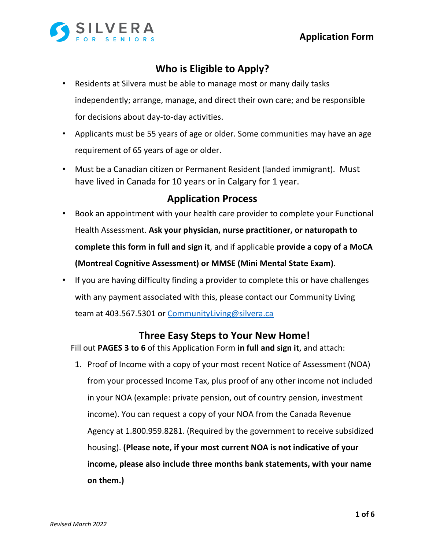

## **Who is Eligible to Apply?**

- Residents at Silvera must be able to manage most or many daily tasks independently; arrange, manage, and direct their own care; and be responsible for decisions about day-to-day activities.
- Applicants must be 55 years of age or older. Some communities may have an age requirement of 65 years of age or older.
- Must be a Canadian citizen or Permanent Resident (landed immigrant). Must have lived in Canada for 10 years or in Calgary for 1 year.

## **Application Process**

- Book an appointment with your health care provider to complete your Functional Health Assessment. **Ask your physician, nurse practitioner, or naturopath to complete this form in full and sign it**, and if applicable **provide a copy of a MoCA (Montreal Cognitive Assessment) or MMSE (Mini Mental State Exam)**.
- If you are having difficulty finding a provider to complete this or have challenges with any payment associated with this, please contact our Community Living team at 403.567.5301 or CommunityLiving@silvera.ca

## **Three Easy Steps to Your New Home!**

Fill out **PAGES 3 to 6** of this Application Form **in full and sign it**, and attach:

1. Proof of Income with a copy of your most recent Notice of Assessment (NOA) from your processed Income Tax, plus proof of any other income not included in your NOA (example: private pension, out of country pension, investment income). You can request a copy of your NOA from the Canada Revenue Agency at 1.800.959.8281. (Required by the government to receive subsidized housing). **(Please note, if your most current NOA is not indicative of your income, please also include three months bank statements, with your name on them.)**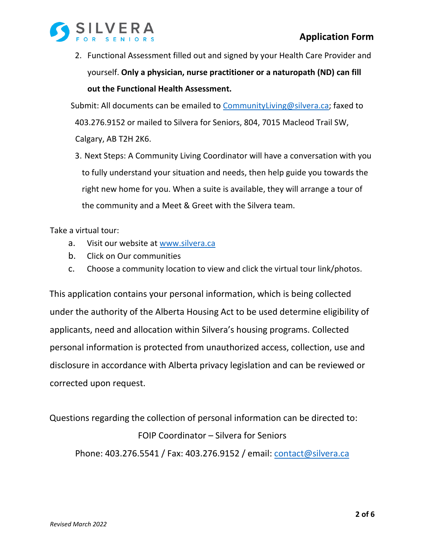

2. Functional Assessment filled out and signed by your Health Care Provider and yourself. **Only a physician, nurse practitioner or a naturopath (ND) can fill out the Functional Health Assessment.**

Submit: All documents can be emailed to CommunityLiving@silvera.ca; faxed to 403.276.9152 or mailed to Silvera for Seniors, 804, 7015 Macleod Trail SW, Calgary, AB T2H 2K6.

3. Next Steps: A Community Living Coordinator will have a conversation with you to fully understand your situation and needs, then help guide you towards the right new home for you. When a suite is available, they will arrange a tour of the community and a Meet & Greet with the Silvera team.

Take a virtual tour:

- a. Visit our website at www.silvera.ca
- b. Click on Our communities
- c. Choose a community location to view and click the virtual tour link/photos.

This application contains your personal information, which is being collected under the authority of the Alberta Housing Act to be used determine eligibility of applicants, need and allocation within Silvera's housing programs. Collected personal information is protected from unauthorized access, collection, use and disclosure in accordance with Alberta privacy legislation and can be reviewed or corrected upon request.

Questions regarding the collection of personal information can be directed to: FOIP Coordinator – Silvera for Seniors Phone: 403.276.5541 / Fax: 403.276.9152 / email: contact@silvera.ca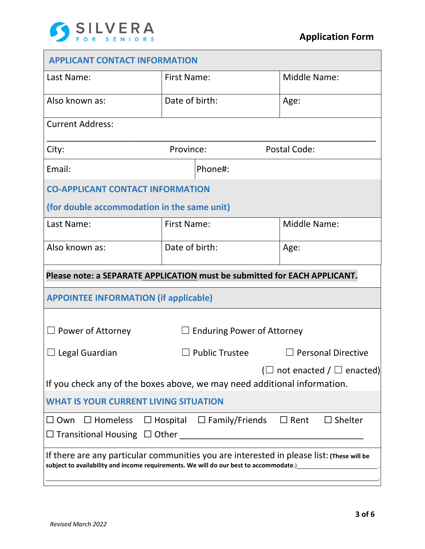

| <b>APPLICANT CONTACT INFORMATION</b>                                                                                                                                               |                                   |                       |                           |  |
|------------------------------------------------------------------------------------------------------------------------------------------------------------------------------------|-----------------------------------|-----------------------|---------------------------|--|
| Last Name:                                                                                                                                                                         | <b>First Name:</b>                |                       | <b>Middle Name:</b>       |  |
| Also known as:                                                                                                                                                                     | Date of birth:                    |                       | Age:                      |  |
| <b>Current Address:</b>                                                                                                                                                            |                                   |                       |                           |  |
| City:                                                                                                                                                                              | Province:                         |                       | Postal Code:              |  |
| Email:                                                                                                                                                                             |                                   | Phone#:               |                           |  |
| <b>CO-APPLICANT CONTACT INFORMATION</b>                                                                                                                                            |                                   |                       |                           |  |
| (for double accommodation in the same unit)                                                                                                                                        |                                   |                       |                           |  |
| Last Name:                                                                                                                                                                         | <b>First Name:</b>                |                       | <b>Middle Name:</b>       |  |
| Also known as:                                                                                                                                                                     | Date of birth:                    |                       | Age:                      |  |
| Please note: a SEPARATE APPLICATION must be submitted for EACH APPLICANT.                                                                                                          |                                   |                       |                           |  |
| <b>APPOINTEE INFORMATION (if applicable)</b>                                                                                                                                       |                                   |                       |                           |  |
| $\Box$ Power of Attorney                                                                                                                                                           | <b>Enduring Power of Attorney</b> |                       |                           |  |
| $\Box$ Legal Guardian                                                                                                                                                              |                                   | $\Box$ Public Trustee | $\Box$ Personal Directive |  |
| ( $\Box$ not enacted / $\Box$ enacted)<br>If you check any of the boxes above, we may need additional information.                                                                 |                                   |                       |                           |  |
| <b>WHAT IS YOUR CURRENT LIVING SITUATION</b>                                                                                                                                       |                                   |                       |                           |  |
| $\Box$ Hospital $\Box$ Family/Friends<br>$\Box$ Shelter<br>$\Box$ Homeless<br>$\Box$ Rent<br>$\square$ Own                                                                         |                                   |                       |                           |  |
| If there are any particular communities you are interested in please list: (These will be<br>subject to availability and income requirements. We will do our best to accommodate.) |                                   |                       |                           |  |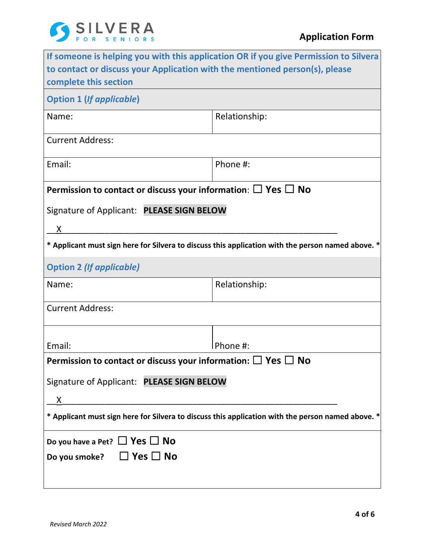

|                                                                                                     | If someone is helping you with this application OR if you give Permission to Silvera |  |  |  |
|-----------------------------------------------------------------------------------------------------|--------------------------------------------------------------------------------------|--|--|--|
| to contact or discuss your Application with the mentioned person(s), please                         |                                                                                      |  |  |  |
| complete this section                                                                               |                                                                                      |  |  |  |
| <b>Option 1 (If applicable)</b>                                                                     |                                                                                      |  |  |  |
| Name:                                                                                               | Relationship:                                                                        |  |  |  |
|                                                                                                     |                                                                                      |  |  |  |
| <b>Current Address:</b>                                                                             |                                                                                      |  |  |  |
| Email:                                                                                              | Phone #:                                                                             |  |  |  |
|                                                                                                     |                                                                                      |  |  |  |
| Permission to contact or discuss your information: $\Box$ Yes $\Box$ No                             |                                                                                      |  |  |  |
| Signature of Applicant: PLEASE SIGN BELOW                                                           |                                                                                      |  |  |  |
| X                                                                                                   |                                                                                      |  |  |  |
| * Applicant must sign here for Silvera to discuss this application with the person named above. *   |                                                                                      |  |  |  |
| <b>Option 2 (If applicable)</b>                                                                     |                                                                                      |  |  |  |
| Name:                                                                                               | Relationship:                                                                        |  |  |  |
| <b>Current Address:</b>                                                                             |                                                                                      |  |  |  |
|                                                                                                     |                                                                                      |  |  |  |
| Email:                                                                                              | Phone #:                                                                             |  |  |  |
| Permission to contact or discuss your information: $\Box$ Yes $\Box$ No                             |                                                                                      |  |  |  |
| Signature of Applicant: PLEASE SIGN BELOW                                                           |                                                                                      |  |  |  |
| X                                                                                                   |                                                                                      |  |  |  |
| * Applicant must sign here for Silvera to discuss this application with the person named above. $*$ |                                                                                      |  |  |  |
| Do you have a Pet? $\Box$ Yes $\Box$ No                                                             |                                                                                      |  |  |  |
| Do you smoke? $\Box$ Yes $\Box$ No                                                                  |                                                                                      |  |  |  |
|                                                                                                     |                                                                                      |  |  |  |
|                                                                                                     |                                                                                      |  |  |  |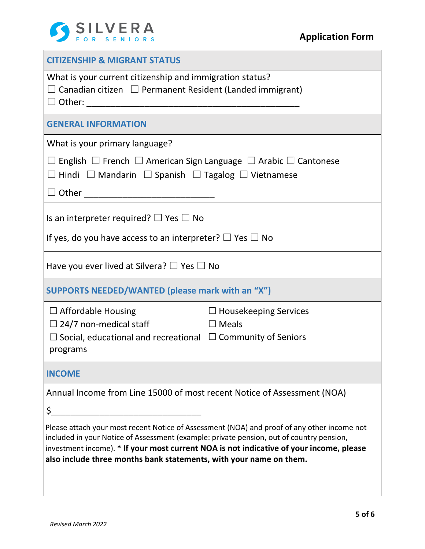

| <b>CITIZENSHIP &amp; MIGRANT STATUS</b>                                                                                                                                                                                                                                                                                                                  |                              |  |  |  |
|----------------------------------------------------------------------------------------------------------------------------------------------------------------------------------------------------------------------------------------------------------------------------------------------------------------------------------------------------------|------------------------------|--|--|--|
| What is your current citizenship and immigration status?<br>$\Box$ Canadian citizen $\Box$ Permanent Resident (Landed immigrant)<br>$\Box$ Other:<br><u> 1980 - Jan James James, politik eta idazleari (</u>                                                                                                                                             |                              |  |  |  |
| <b>GENERAL INFORMATION</b>                                                                                                                                                                                                                                                                                                                               |                              |  |  |  |
| What is your primary language?                                                                                                                                                                                                                                                                                                                           |                              |  |  |  |
| $\Box$ English $\Box$ French $\Box$ American Sign Language $\Box$ Arabic $\Box$ Cantonese<br>$\Box$ Hindi $\Box$ Mandarin $\Box$ Spanish $\Box$ Tagalog $\Box$ Vietnamese                                                                                                                                                                                |                              |  |  |  |
|                                                                                                                                                                                                                                                                                                                                                          |                              |  |  |  |
| Is an interpreter required? $\Box$ Yes $\Box$ No                                                                                                                                                                                                                                                                                                         |                              |  |  |  |
| If yes, do you have access to an interpreter? $\Box$ Yes $\Box$ No                                                                                                                                                                                                                                                                                       |                              |  |  |  |
| Have you ever lived at Silvera? $\square$ Yes $\square$ No                                                                                                                                                                                                                                                                                               |                              |  |  |  |
| SUPPORTS NEEDED/WANTED (please mark with an "X")                                                                                                                                                                                                                                                                                                         |                              |  |  |  |
| $\Box$ Affordable Housing                                                                                                                                                                                                                                                                                                                                | $\Box$ Housekeeping Services |  |  |  |
| D Meals<br>$\Box$ 24/7 non-medical staff                                                                                                                                                                                                                                                                                                                 |                              |  |  |  |
| $\Box$ Social, educational and recreational $\Box$ Community of Seniors<br>programs                                                                                                                                                                                                                                                                      |                              |  |  |  |
| <b>INCOME</b>                                                                                                                                                                                                                                                                                                                                            |                              |  |  |  |
| Annual Income from Line 15000 of most recent Notice of Assessment (NOA)                                                                                                                                                                                                                                                                                  |                              |  |  |  |
| \$_                                                                                                                                                                                                                                                                                                                                                      |                              |  |  |  |
| Please attach your most recent Notice of Assessment (NOA) and proof of any other income not<br>included in your Notice of Assessment (example: private pension, out of country pension,<br>investment income). * If your most current NOA is not indicative of your income, please<br>also include three months bank statements, with your name on them. |                              |  |  |  |
|                                                                                                                                                                                                                                                                                                                                                          |                              |  |  |  |